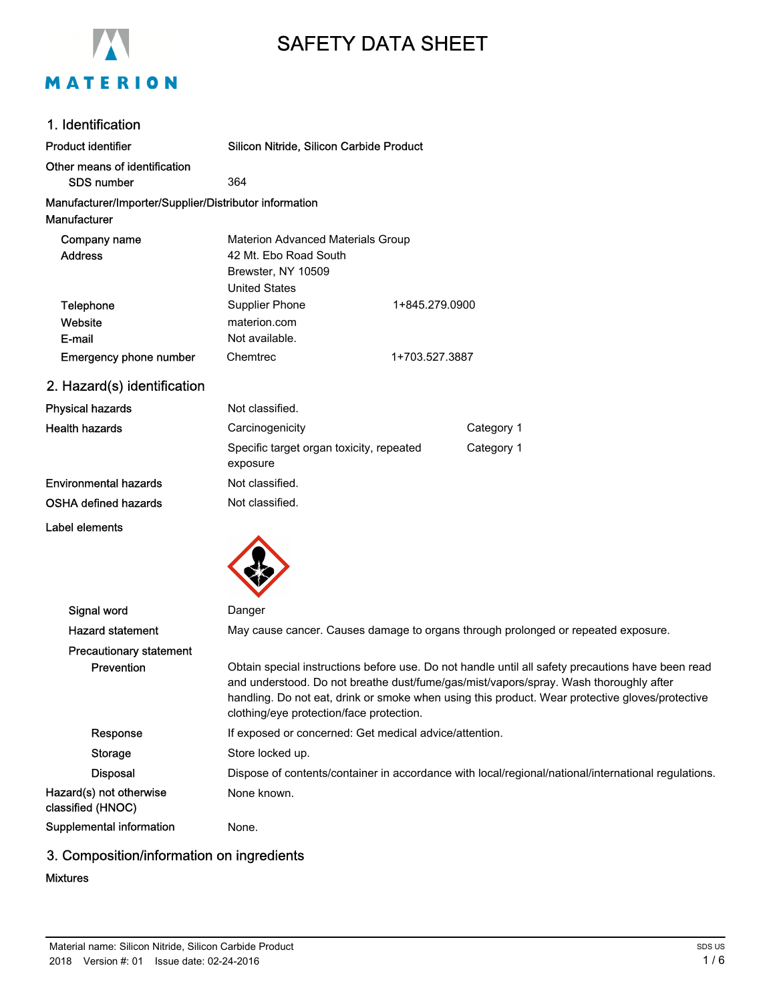

# SAFETY DATA SHEET

#### 1. Identification

| Product identifier                                     | Silicon Nitride, Silicon Carbide Product                                                                                                                                                                                                                                                                                                  |                |                                                                                   |
|--------------------------------------------------------|-------------------------------------------------------------------------------------------------------------------------------------------------------------------------------------------------------------------------------------------------------------------------------------------------------------------------------------------|----------------|-----------------------------------------------------------------------------------|
| Other means of identification                          |                                                                                                                                                                                                                                                                                                                                           |                |                                                                                   |
| <b>SDS number</b>                                      | 364                                                                                                                                                                                                                                                                                                                                       |                |                                                                                   |
| Manufacturer/Importer/Supplier/Distributor information |                                                                                                                                                                                                                                                                                                                                           |                |                                                                                   |
| Manufacturer                                           |                                                                                                                                                                                                                                                                                                                                           |                |                                                                                   |
| Company name                                           | <b>Materion Advanced Materials Group</b>                                                                                                                                                                                                                                                                                                  |                |                                                                                   |
| <b>Address</b>                                         | 42 Mt. Ebo Road South                                                                                                                                                                                                                                                                                                                     |                |                                                                                   |
|                                                        | Brewster, NY 10509                                                                                                                                                                                                                                                                                                                        |                |                                                                                   |
|                                                        | <b>United States</b>                                                                                                                                                                                                                                                                                                                      |                |                                                                                   |
| Telephone                                              | Supplier Phone                                                                                                                                                                                                                                                                                                                            | 1+845.279.0900 |                                                                                   |
| Website                                                | materion.com                                                                                                                                                                                                                                                                                                                              |                |                                                                                   |
| E-mail                                                 | Not available.                                                                                                                                                                                                                                                                                                                            |                |                                                                                   |
| <b>Emergency phone number</b>                          | Chemtrec                                                                                                                                                                                                                                                                                                                                  | 1+703.527.3887 |                                                                                   |
| 2. Hazard(s) identification                            |                                                                                                                                                                                                                                                                                                                                           |                |                                                                                   |
| <b>Physical hazards</b>                                | Not classified.                                                                                                                                                                                                                                                                                                                           |                |                                                                                   |
| <b>Health hazards</b>                                  | Carcinogenicity                                                                                                                                                                                                                                                                                                                           |                | Category 1                                                                        |
|                                                        | Specific target organ toxicity, repeated<br>exposure                                                                                                                                                                                                                                                                                      |                | Category 1                                                                        |
| <b>Environmental hazards</b>                           | Not classified.                                                                                                                                                                                                                                                                                                                           |                |                                                                                   |
| OSHA defined hazards                                   | Not classified.                                                                                                                                                                                                                                                                                                                           |                |                                                                                   |
| Label elements                                         |                                                                                                                                                                                                                                                                                                                                           |                |                                                                                   |
|                                                        |                                                                                                                                                                                                                                                                                                                                           |                |                                                                                   |
| Signal word                                            | Danger                                                                                                                                                                                                                                                                                                                                    |                |                                                                                   |
| <b>Hazard statement</b>                                |                                                                                                                                                                                                                                                                                                                                           |                | May cause cancer. Causes damage to organs through prolonged or repeated exposure. |
| <b>Precautionary statement</b>                         |                                                                                                                                                                                                                                                                                                                                           |                |                                                                                   |
| Prevention                                             | Obtain special instructions before use. Do not handle until all safety precautions have been read<br>and understood. Do not breathe dust/fume/gas/mist/vapors/spray. Wash thoroughly after<br>handling. Do not eat, drink or smoke when using this product. Wear protective gloves/protective<br>clothing/eye protection/face protection. |                |                                                                                   |
| Response                                               | If exposed or concerned: Get medical advice/attention.                                                                                                                                                                                                                                                                                    |                |                                                                                   |
| Storage                                                | Store locked up.                                                                                                                                                                                                                                                                                                                          |                |                                                                                   |
|                                                        |                                                                                                                                                                                                                                                                                                                                           |                |                                                                                   |

Disposal Dispose of contents/container in accordance with local/regional/national/international regulations. Hazard(s) not otherwise classified (HNOC) None known.

Supplemental information Mone.

# 3. Composition/information on ingredients

## Mixtures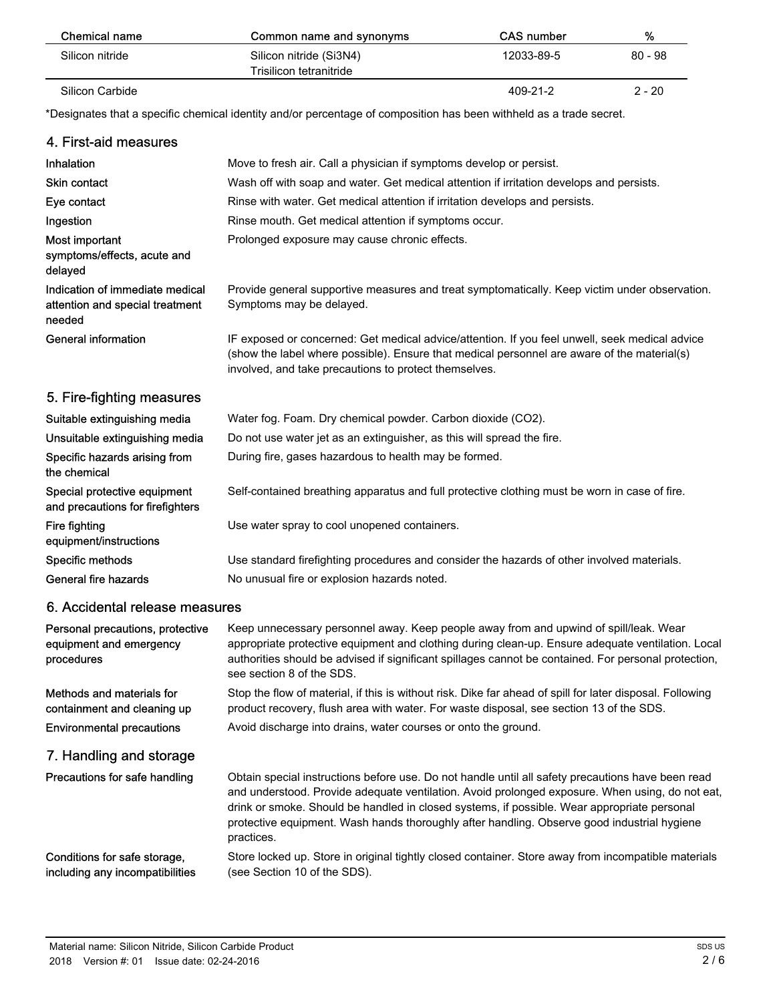| Chemical name   | Common name and synonyms                           | <b>CAS number</b> | %         |
|-----------------|----------------------------------------------------|-------------------|-----------|
| Silicon nitride | Silicon nitride (Si3N4)<br>Trisilicon tetranitride | 12033-89-5        | $80 - 98$ |
| Silicon Carbide |                                                    | 409-21-2          | $2 - 20$  |

\*Designates that a specific chemical identity and/or percentage of composition has been withheld as a trade secret.

| 4. First-aid measures                                                        |                                                                                                                                                                                                                                                                                                                                                                                                                  |
|------------------------------------------------------------------------------|------------------------------------------------------------------------------------------------------------------------------------------------------------------------------------------------------------------------------------------------------------------------------------------------------------------------------------------------------------------------------------------------------------------|
| Inhalation                                                                   | Move to fresh air. Call a physician if symptoms develop or persist.                                                                                                                                                                                                                                                                                                                                              |
| <b>Skin contact</b>                                                          | Wash off with soap and water. Get medical attention if irritation develops and persists.                                                                                                                                                                                                                                                                                                                         |
| Eye contact                                                                  | Rinse with water. Get medical attention if irritation develops and persists.                                                                                                                                                                                                                                                                                                                                     |
| Ingestion                                                                    | Rinse mouth. Get medical attention if symptoms occur.                                                                                                                                                                                                                                                                                                                                                            |
| Most important<br>symptoms/effects, acute and<br>delayed                     | Prolonged exposure may cause chronic effects.                                                                                                                                                                                                                                                                                                                                                                    |
| Indication of immediate medical<br>attention and special treatment<br>needed | Provide general supportive measures and treat symptomatically. Keep victim under observation.<br>Symptoms may be delayed.                                                                                                                                                                                                                                                                                        |
| <b>General information</b>                                                   | IF exposed or concerned: Get medical advice/attention. If you feel unwell, seek medical advice<br>(show the label where possible). Ensure that medical personnel are aware of the material(s)<br>involved, and take precautions to protect themselves.                                                                                                                                                           |
| 5. Fire-fighting measures                                                    |                                                                                                                                                                                                                                                                                                                                                                                                                  |
| Suitable extinguishing media                                                 | Water fog. Foam. Dry chemical powder. Carbon dioxide (CO2).                                                                                                                                                                                                                                                                                                                                                      |
| Unsuitable extinguishing media                                               | Do not use water jet as an extinguisher, as this will spread the fire.                                                                                                                                                                                                                                                                                                                                           |
| Specific hazards arising from<br>the chemical                                | During fire, gases hazardous to health may be formed.                                                                                                                                                                                                                                                                                                                                                            |
| Special protective equipment<br>and precautions for firefighters             | Self-contained breathing apparatus and full protective clothing must be worn in case of fire.                                                                                                                                                                                                                                                                                                                    |
| Fire fighting<br>equipment/instructions                                      | Use water spray to cool unopened containers.                                                                                                                                                                                                                                                                                                                                                                     |
| Specific methods                                                             | Use standard firefighting procedures and consider the hazards of other involved materials.                                                                                                                                                                                                                                                                                                                       |
| General fire hazards                                                         | No unusual fire or explosion hazards noted.                                                                                                                                                                                                                                                                                                                                                                      |
| 6. Accidental release measures                                               |                                                                                                                                                                                                                                                                                                                                                                                                                  |
| Personal precautions, protective<br>equipment and emergency<br>procedures    | Keep unnecessary personnel away. Keep people away from and upwind of spill/leak. Wear<br>appropriate protective equipment and clothing during clean-up. Ensure adequate ventilation. Local<br>authorities should be advised if significant spillages cannot be contained. For personal protection,<br>see section 8 of the SDS.                                                                                  |
| Methods and materials for<br>containment and cleaning up                     | Stop the flow of material, if this is without risk. Dike far ahead of spill for later disposal. Following<br>product recovery, flush area with water. For waste disposal, see section 13 of the SDS.                                                                                                                                                                                                             |
| <b>Environmental precautions</b>                                             | Avoid discharge into drains, water courses or onto the ground.                                                                                                                                                                                                                                                                                                                                                   |
| 7. Handling and storage                                                      |                                                                                                                                                                                                                                                                                                                                                                                                                  |
| Precautions for safe handling                                                | Obtain special instructions before use. Do not handle until all safety precautions have been read<br>and understood. Provide adequate ventilation. Avoid prolonged exposure. When using, do not eat,<br>drink or smoke. Should be handled in closed systems, if possible. Wear appropriate personal<br>protective equipment. Wash hands thoroughly after handling. Observe good industrial hygiene<br>practices. |
| Conditions for safe storage,<br>including any incompatibilities              | Store locked up. Store in original tightly closed container. Store away from incompatible materials<br>(see Section 10 of the SDS).                                                                                                                                                                                                                                                                              |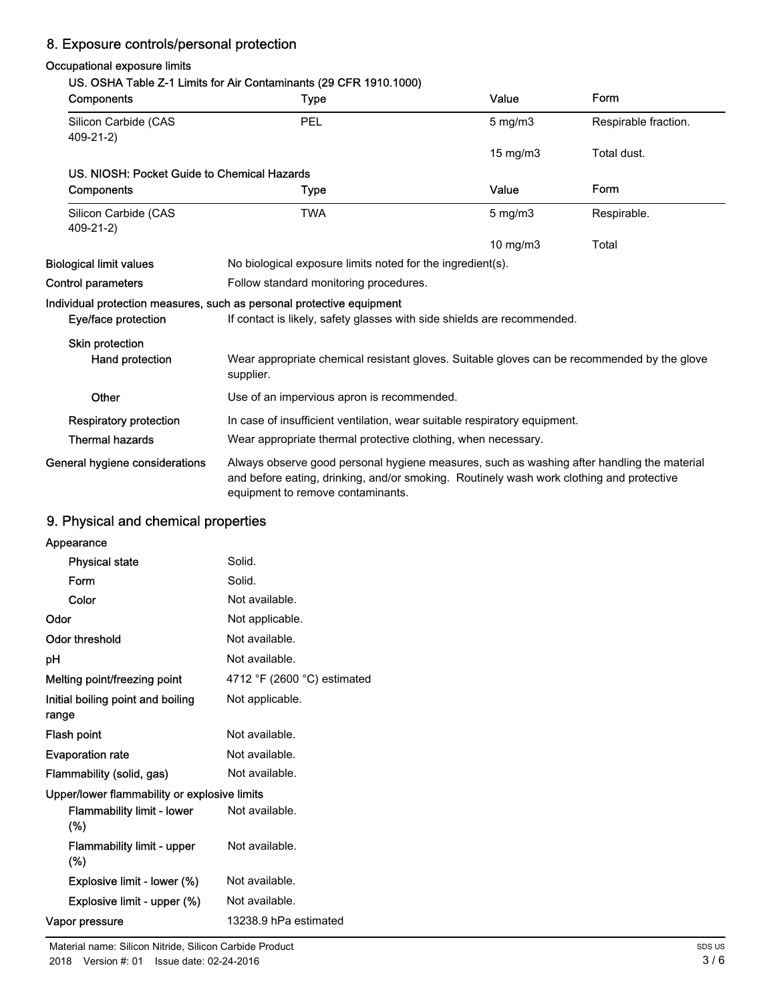# 8. Exposure controls/personal protection

## Occupational exposure limits

#### US. OSHA Table Z-1 Limits for Air Contaminants (29 CFR 1910.1000)

| <b>Components</b>                           | <b>Type</b>                                                                                                                                                                                                                 | Value            | Form                 |
|---------------------------------------------|-----------------------------------------------------------------------------------------------------------------------------------------------------------------------------------------------------------------------------|------------------|----------------------|
| Silicon Carbide (CAS<br>409-21-2)           | PEL                                                                                                                                                                                                                         | $5$ mg/m $3$     | Respirable fraction. |
|                                             |                                                                                                                                                                                                                             | 15 mg/m3         | Total dust.          |
| US. NIOSH: Pocket Guide to Chemical Hazards |                                                                                                                                                                                                                             |                  |                      |
| Components                                  | Type                                                                                                                                                                                                                        | Value            | Form                 |
| Silicon Carbide (CAS<br>409-21-2)           | <b>TWA</b>                                                                                                                                                                                                                  | $5 \text{ mg/m}$ | Respirable.          |
|                                             |                                                                                                                                                                                                                             | $10$ mg/m $3$    | Total                |
| <b>Biological limit values</b>              | No biological exposure limits noted for the ingredient(s).                                                                                                                                                                  |                  |                      |
| Control parameters                          | Follow standard monitoring procedures.                                                                                                                                                                                      |                  |                      |
|                                             | Individual protection measures, such as personal protective equipment                                                                                                                                                       |                  |                      |
| Eye/face protection                         | If contact is likely, safety glasses with side shields are recommended.                                                                                                                                                     |                  |                      |
| Skin protection                             |                                                                                                                                                                                                                             |                  |                      |
| Hand protection                             | Wear appropriate chemical resistant gloves. Suitable gloves can be recommended by the glove<br>supplier.                                                                                                                    |                  |                      |
| Other                                       | Use of an impervious apron is recommended.                                                                                                                                                                                  |                  |                      |
| <b>Respiratory protection</b>               | In case of insufficient ventilation, wear suitable respiratory equipment.                                                                                                                                                   |                  |                      |
| <b>Thermal hazards</b>                      | Wear appropriate thermal protective clothing, when necessary.                                                                                                                                                               |                  |                      |
| General hygiene considerations              | Always observe good personal hygiene measures, such as washing after handling the material<br>and before eating, drinking, and/or smoking. Routinely wash work clothing and protective<br>equipment to remove contaminants. |                  |                      |

# 9. Physical and chemical properties

| Appearance                                   |                                               |
|----------------------------------------------|-----------------------------------------------|
| <b>Physical state</b>                        | Solid.                                        |
| Form                                         | Solid.                                        |
| Color                                        | Not available.                                |
| Odor                                         | Not applicable.                               |
| Odor threshold                               | Not available.                                |
| рH                                           | Not available.                                |
| Melting point/freezing point                 | 4712 $\degree$ F (2600 $\degree$ C) estimated |
| Initial boiling point and boiling<br>range   | Not applicable.                               |
| Flash point                                  | Not available.                                |
| <b>Evaporation rate</b>                      | Not available.                                |
| Flammability (solid, gas)                    | Not available.                                |
| Upper/lower flammability or explosive limits |                                               |
| <b>Flammability limit - lower</b><br>$(\%)$  | Not available.                                |
| Flammability limit - upper<br>$(\%)$         | Not available.                                |
| Explosive limit - lower (%)                  | Not available.                                |
| Explosive limit - upper (%)                  | Not available.                                |
| Vapor pressure                               | 13238.9 hPa estimated                         |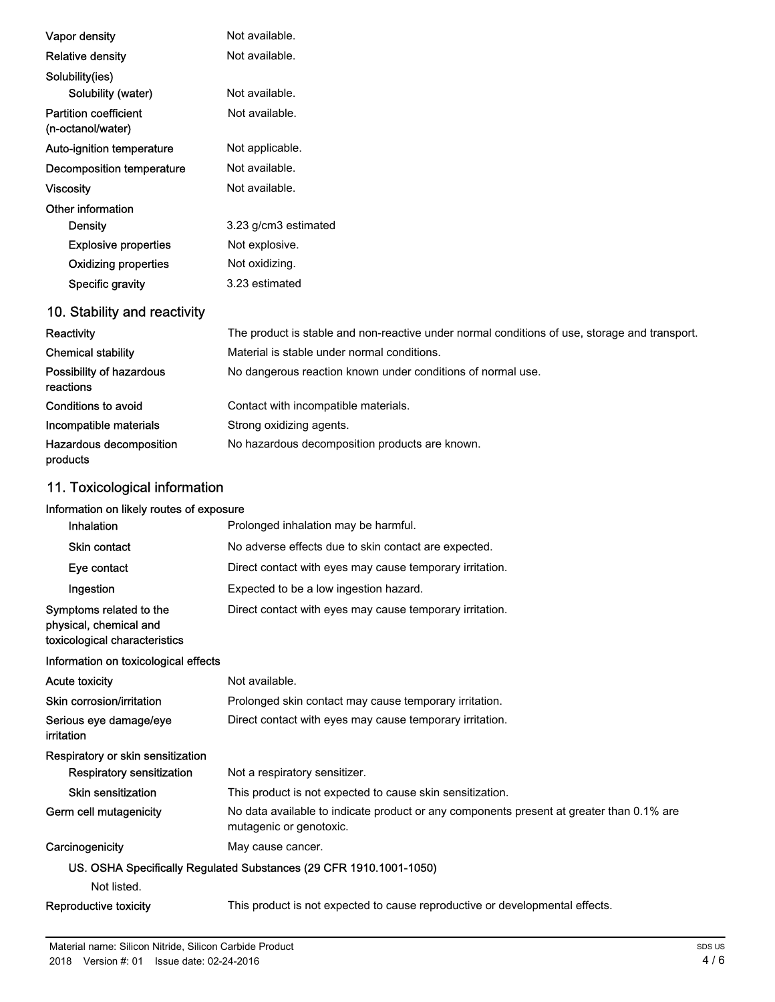| Vapor density                                                         | Not available.                                                                                                      |
|-----------------------------------------------------------------------|---------------------------------------------------------------------------------------------------------------------|
| <b>Relative density</b>                                               | Not available.                                                                                                      |
| Solubility(ies)                                                       |                                                                                                                     |
| Solubility (water)                                                    | Not available.                                                                                                      |
| <b>Partition coefficient</b><br>(n-octanol/water)                     | Not available.                                                                                                      |
| Auto-ignition temperature                                             | Not applicable.                                                                                                     |
| <b>Decomposition temperature</b>                                      | Not available.                                                                                                      |
| <b>Viscosity</b>                                                      | Not available.                                                                                                      |
| Other information                                                     |                                                                                                                     |
| <b>Density</b>                                                        | 3.23 g/cm3 estimated                                                                                                |
| <b>Explosive properties</b>                                           | Not explosive.                                                                                                      |
| <b>Oxidizing properties</b>                                           | Not oxidizing.                                                                                                      |
| Specific gravity                                                      | 3.23 estimated                                                                                                      |
| 10. Stability and reactivity                                          |                                                                                                                     |
| Reactivity                                                            | The product is stable and non-reactive under normal conditions of use, storage and transport.                       |
| <b>Chemical stability</b>                                             | Material is stable under normal conditions.                                                                         |
| Possibility of hazardous<br>reactions                                 | No dangerous reaction known under conditions of normal use.                                                         |
| Conditions to avoid                                                   | Contact with incompatible materials.                                                                                |
| Incompatible materials                                                | Strong oxidizing agents.                                                                                            |
| Hazardous decomposition<br>products                                   | No hazardous decomposition products are known.                                                                      |
| 11. Toxicological information                                         |                                                                                                                     |
| Information on likely routes of exposure                              |                                                                                                                     |
| Inhalation                                                            | Prolonged inhalation may be harmful.                                                                                |
| <b>Skin contact</b>                                                   | No adverse effects due to skin contact are expected.                                                                |
| Eye contact                                                           | Direct contact with eyes may cause temporary irritation.                                                            |
| Ingestion                                                             | Expected to be a low ingestion hazard.                                                                              |
| Symptoms related to the<br>physical, chemical and                     | Direct contact with eyes may cause temporary irritation.                                                            |
| toxicological characteristics                                         |                                                                                                                     |
| Information on toxicological effects                                  |                                                                                                                     |
| <b>Acute toxicity</b>                                                 | Not available.                                                                                                      |
| Skin corrosion/irritation                                             | Prolonged skin contact may cause temporary irritation.                                                              |
| Serious eye damage/eye<br>irritation                                  | Direct contact with eyes may cause temporary irritation.                                                            |
| Respiratory or skin sensitization<br><b>Respiratory sensitization</b> | Not a respiratory sensitizer.                                                                                       |
| <b>Skin sensitization</b>                                             | This product is not expected to cause skin sensitization.                                                           |
| Germ cell mutagenicity                                                | No data available to indicate product or any components present at greater than 0.1% are<br>mutagenic or genotoxic. |

# US. OSHA Specifically Regulated Substances (29 CFR 1910.1001-1050)

Not listed.

Reproductive toxicity This product is not expected to cause reproductive or developmental effects.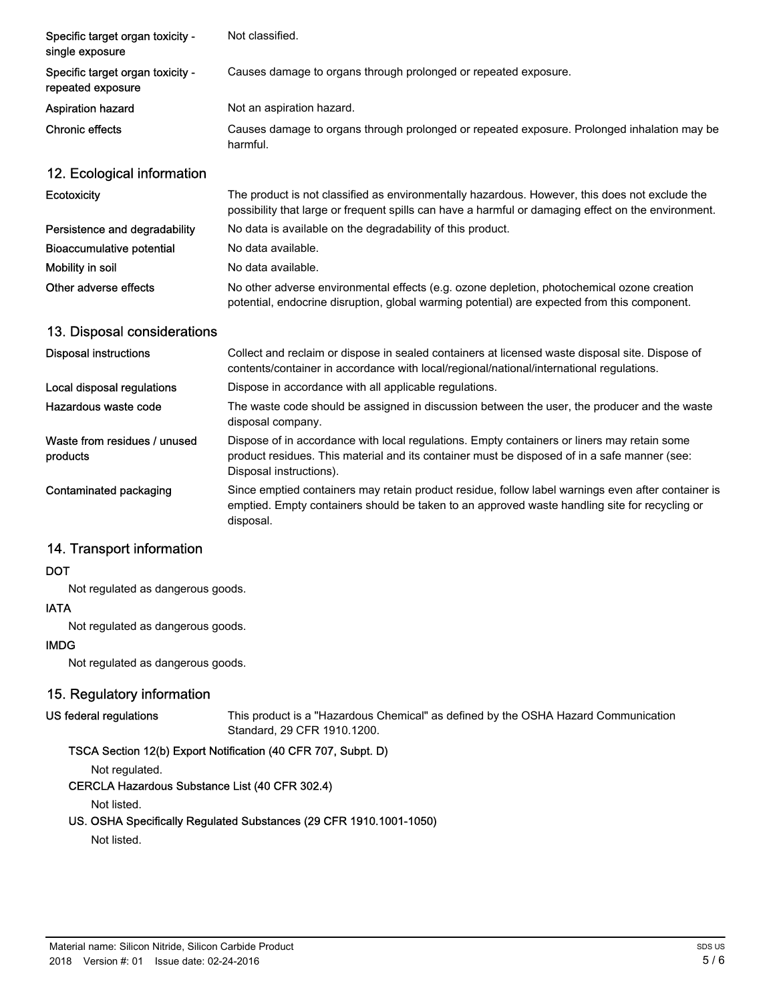| Specific target organ toxicity -<br>single exposure   | Not classified.                                                                                                                                                                                                        |
|-------------------------------------------------------|------------------------------------------------------------------------------------------------------------------------------------------------------------------------------------------------------------------------|
| Specific target organ toxicity -<br>repeated exposure | Causes damage to organs through prolonged or repeated exposure.                                                                                                                                                        |
| <b>Aspiration hazard</b>                              | Not an aspiration hazard.                                                                                                                                                                                              |
| <b>Chronic effects</b>                                | Causes damage to organs through prolonged or repeated exposure. Prolonged inhalation may be<br>harmful.                                                                                                                |
| 12. Ecological information                            |                                                                                                                                                                                                                        |
| Ecotoxicity                                           | The product is not classified as environmentally hazardous. However, this does not exclude the<br>possibility that large or frequent spills can have a harmful or damaging effect on the environment.                  |
| Persistence and degradability                         | No data is available on the degradability of this product.                                                                                                                                                             |
| Bioaccumulative potential                             | No data available.                                                                                                                                                                                                     |
| Mobility in soil                                      | No data available.                                                                                                                                                                                                     |
| Other adverse effects                                 | No other adverse environmental effects (e.g. ozone depletion, photochemical ozone creation<br>potential, endocrine disruption, global warming potential) are expected from this component.                             |
| 13. Disposal considerations                           |                                                                                                                                                                                                                        |
| <b>Disposal instructions</b>                          | Collect and reclaim or dispose in sealed containers at licensed waste disposal site. Dispose of<br>contents/container in accordance with local/regional/national/international regulations.                            |
| Local disposal regulations                            | Dispose in accordance with all applicable regulations.                                                                                                                                                                 |
| Hazardous waste code                                  | The waste code should be assigned in discussion between the user, the producer and the waste<br>disposal company.                                                                                                      |
| Waste from residues / unused<br>products              | Dispose of in accordance with local regulations. Empty containers or liners may retain some<br>product residues. This material and its container must be disposed of in a safe manner (see:<br>Disposal instructions). |
| Contaminated packaging                                | Since emptied containers may retain product residue, follow label warnings even after container is<br>emptied. Empty containers should be taken to an approved waste handling site for recycling or<br>disposal.       |

# 14. Transport information

#### **DOT**

Not regulated as dangerous goods.

#### IATA

Not regulated as dangerous goods.

#### IMDG

Not regulated as dangerous goods.

# 15. Regulatory information

#### US federal regulations

This product is a "Hazardous Chemical" as defined by the OSHA Hazard Communication Standard, 29 CFR 1910.1200.

## TSCA Section 12(b) Export Notification (40 CFR 707, Subpt. D)

Not regulated.

#### CERCLA Hazardous Substance List (40 CFR 302.4)

Not listed.

### US. OSHA Specifically Regulated Substances (29 CFR 1910.1001-1050)

Not listed.